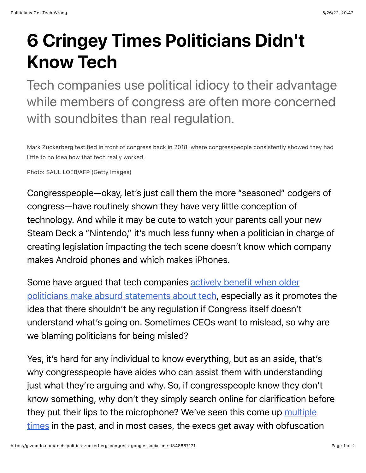## 6 Cringey Times Politicians Didn't Know Tech

Tech companies use political idiocy to their advantage while members of congress are often more concerned with soundbites than real regulation.

Mark Zuckerberg testified in front of congress back in 2018, where congresspeople consistently showed they had little to no idea how that tech really worked.

Photo: SAUL LOEB/AFP (Getty Images)

Congresspeople—okay, let's just call them the more "seasoned" codgers of congress—have routinely shown they have very little conception of technology. And while it may be cute to watch your parents call your new Steam Deck a "Nintendo," it's much less funny when a politician in charge of creating legislation impacting the tech scene doesn't know which company makes Android phones and which makes iPhones.

[Some have argued that tech companies actively benefit when older](https://www.nytimes.com/2020/07/29/technology/congress-big-tech.html) politicians make absurd statements about tech, especially as it promotes the idea that there shouldn't be any regulation if Congress itself doesn't understand what's going on. Sometimes CEOs want to mislead, so why are we blaming politicians for being misled?

Yes, it's hard for any individual to know everything, but as an aside, that's why congresspeople have aides who can assist them with understanding just what they're arguing and why. So, if congresspeople know they don't know something, why don't they simply search online for clarification before they put their lips to the microphone? We've seen this come up [multiple](https://www.cnbc.com/2018/12/11/google-ceo-sundar-pichai-testifies-before-congress-on-bias-privacy.html) [times](https://www.npr.org/sections/thetwo-way/2018/04/10/599808766/i-m-responsible-for-what-happens-at-facebook-mark-zuckerberg-will-tell-senate) in the past, and in most cases, the execs get away with obfuscation